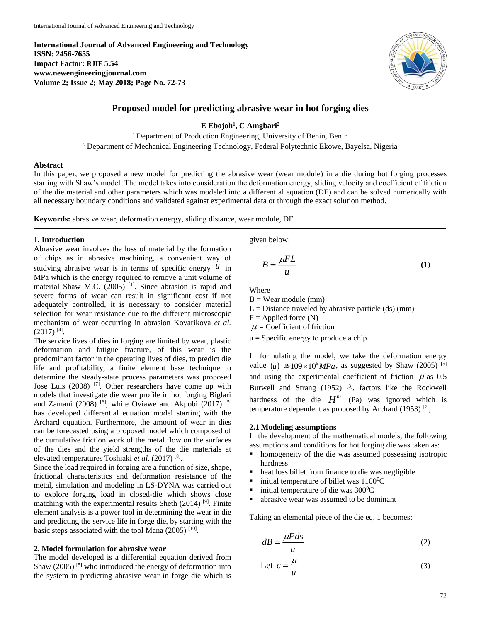**International Journal of Advanced Engineering and Technology ISSN: 2456-7655 Impact Factor: RJIF 5.54 www.newengineeringjournal.com Volume 2; Issue 2; May 2018; Page No. 72-73**



# **Proposed model for predicting abrasive wear in hot forging dies**

**E Ebojoh<sup>1</sup> , C Amgbari<sup>2</sup>**

<sup>1</sup> Department of Production Engineering, University of Benin, Benin  $2$  Department of Mechanical Engineering Technology, Federal Polytechnic Ekowe, Bayelsa, Nigeria

### **Abstract**

In this paper, we proposed a new model for predicting the abrasive wear (wear module) in a die during hot forging processes starting with Shaw's model. The model takes into consideration the deformation energy, sliding velocity and coefficient of friction of the die material and other parameters which was modeled into a differential equation (DE) and can be solved numerically with all necessary boundary conditions and validated against experimental data or through the exact solution method.

**Keywords:** abrasive wear, deformation energy, sliding distance, wear module, DE

### **1. Introduction**

Abrasive wear involves the loss of material by the formation of chips as in abrasive machining, a convenient way of studying abrasive wear is in terms of specific energy  $\mu$  in MPa which is the energy required to remove a unit volume of material Shaw M.C.  $(2005)$ <sup>[1]</sup>. Since abrasion is rapid and severe forms of wear can result in significant cost if not adequately controlled, it is necessary to consider material selection for wear resistance due to the different microscopic mechanism of wear occurring in abrasion Kovarikova *et al.*  $(2017)$ <sup>[4]</sup>.

The service lives of dies in forging are limited by wear, plastic deformation and fatigue fracture, of this wear is the predominant factor in the operating lives of dies, to predict die life and profitability, a finite element base technique to determine the steady-state process parameters was proposed Jose Luis (2008)  $\begin{bmatrix} 7 \end{bmatrix}$ . Other researchers have come up with models that investigate die wear profile in hot forging Biglari and Zamani (2008) <sup>[6]</sup>, while Oviawe and Akpobi (2017) <sup>[5]</sup> has developed differential equation model starting with the Archard equation. Furthermore, the amount of wear in dies can be forecasted using a proposed model which composed of the cumulative friction work of the metal flow on the surfaces of the dies and the yield strengths of the die materials at elevated temperatures Toshiaki et al. (2017)<sup>[8]</sup>.

Since the load required in forging are a function of size, shape, frictional characteristics and deformation resistance of the metal, simulation and modeling in LS-DYNA was carried out to explore forging load in closed-die which shows close matching with the experimental results Sheth  $(2014)$  [9]. Finite element analysis is a power tool in determining the wear in die and predicting the service life in forge die, by starting with the basic steps associated with the tool Mana (2005)<sup>[10]</sup>.

# **2. Model formulation for abrasive wear**

The model developed is a differential equation derived from Shaw  $(2005)$ <sup>[5]</sup> who introduced the energy of deformation into the system in predicting abrasive wear in forge die which is

given below:

$$
B = \frac{\mu F L}{u} \tag{1}
$$

Where

 $B = Wear module (mm)$ 

 $L = Distance$  traveled by abrasive particle (ds) (mm)

 $F =$  Applied force  $(N)$ 

 $\mu$  = Coefficient of friction

 $u =$  Specific energy to produce a chip

In formulating the model, we take the deformation energy value  $(\mu)$  as 109×10<sup>6</sup> $MPa$ , as suggested by Shaw (2005)<sup>[5]</sup> and using the experimental coefficient of friction  $\mu$  as 0.5 Burwell and Strang  $(1952)$  <sup>[3]</sup>, factors like the Rockwell hardness of the die  $H^m$  (Pa) was ignored which is temperature dependent as proposed by Archard (1953)<sup>[2]</sup>,

## **2.1 Modeling assumptions**

In the development of the mathematical models, the following assumptions and conditions for hot forging die was taken as:

- homogeneity of the die was assumed possessing isotropic hardness
- heat loss billet from finance to die was negligible
- $\blacksquare$  initial temperature of billet was 1100<sup>0</sup>C
- $\blacksquare$  initial temperature of die was 300 $^{\circ}$ C
- abrasive wear was assumed to be dominant

Taking an elemental piece of the die eq. 1 becomes:

$$
dB = \frac{\mu F ds}{u} \tag{2}
$$

Let 
$$
c = \frac{\mu}{u}
$$
 (3)